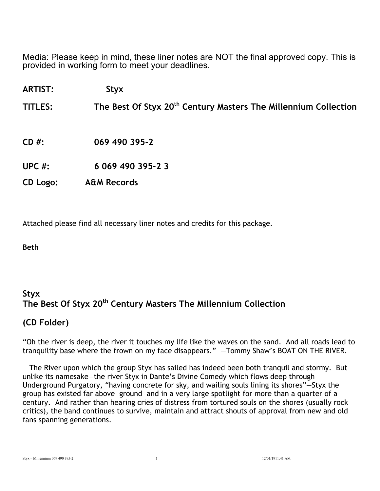Media: Please keep in mind, these liner notes are NOT the final approved copy. This is provided in working form to meet your deadlines.

**ARTIST: Styx**

**TITLES: The Best Of Styx 20th Century Masters The Millennium Collection**

**CD #: 069 490 395-2**

**UPC #: 6 069 490 395-2 3**

**CD Logo: A&M Records** 

Attached please find all necessary liner notes and credits for this package.

**Beth**

#### **Styx The Best Of Styx 20th Century Masters The Millennium Collection**

#### **(CD Folder)**

"Oh the river is deep, the river it touches my life like the waves on the sand. And all roads lead to tranquility base where the frown on my face disappears." —Tommy Shaw's BOAT ON THE RIVER.

 The River upon which the group Styx has sailed has indeed been both tranquil and stormy. But unlike its namesake—the river Styx in Dante's Divine Comedy which flows deep through Underground Purgatory, "having concrete for sky, and wailing souls lining its shores"—Styx the group has existed far above ground and in a very large spotlight for more than a quarter of a century. And rather than hearing cries of distress from tortured souls on the shores (usually rock critics), the band continues to survive, maintain and attract shouts of approval from new and old fans spanning generations.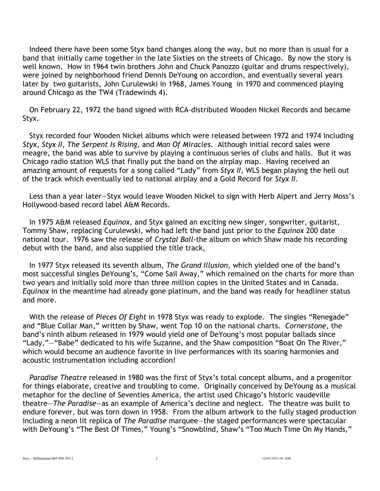Indeed there have been some Styx band changes along the way, but no more than is usual for a band that initially came together in the late Sixties on the streets of Chicago. By now the story is well known. How in 1964 twin brothers John and Chuck Panozzo (guitar and drums respectively), were joined by neighborhood friend Dennis DeYoung on accordion, and eventually several years later by two guitarists, John Curulewski in 1968, James Young in 1970 and commenced playing around Chicago as the TW4 (Tradewinds 4).

 On February 22, 1972 the band signed with RCA-distributed Wooden Nickel Records and became Styx.

 Styx recorded four Wooden Nickel albums which were released between 1972 and 1974 including *Styx*, *Styx II*, *The Serpent Is Rising*, and *Man Of Miracles*. Although initial record sales were meagre, the band was able to survive by playing a continuous series of clubs and halls. But it was Chicago radio station WLS that finally put the band on the airplay map. Having received an amazing amount of requests for a song called "Lady" from *Styx II*, WLS began playing the hell out of the track which eventually led to national airplay and a Gold Record for *Styx II*.

 Less than a year later—Styx would leave Wooden Nickel to sign with Herb Alpert and Jerry Moss's Hollywood-based record label A&M Records.

 In 1975 A&M released *Equinox*, and Styx gained an exciting new singer, songwriter, guitarist, Tommy Shaw, replacing Curulewski, who had left the band just prior to the *Equinox* 200 date national tour. 1976 saw the release of *Crystal Ball*-the album on which Shaw made his recording debut with the band, and also supplied the title track,

 In 1977 Styx released its seventh album, *The Grand Illusion*, which yielded one of the band's most successful singles DeYoung's, "Come Sail Away," which remained on the charts for more than two years and initially sold more than three million copies in the United States and in Canada. *Equinox* in the meantime had already gone platinum, and the band was ready for headliner status and more.

 With the release of *Pieces Of Eight* in 1978 Styx was ready to explode. The singles "Renegade" and "Blue Collar Man," written by Shaw, went Top 10 on the national charts. *Cornerstone*, the band's ninth album released in 1979 would yield one of DeYoung's most popular ballads since "Lady,"—"Babe" dedicated to his wife Suzanne, and the Shaw composition "Boat On The River," which would become an audience favorite in live performances with its soaring harmonies and acoustic instrumentation including accordion!

 *Paradise Theatre* released in 1980 was the first of Styx's total concept albums, and a progenitor for things elaborate, creative and troubling to come. Originally conceived by DeYoung as a musical metaphor for the decline of Seventies America, the artist used Chicago's historic vaudeville theatre—*The Paradise*—as an example of America's decline and neglect. The theatre was built to endure forever, but was torn down in 1958. From the album artwork to the fully staged production including a neon lit replica of *The Paradise* marquee—the staged performances were spectacular with DeYoung's "The Best Of Times," Young's "Snowblind, Shaw's "Too Much Time On My Hands,"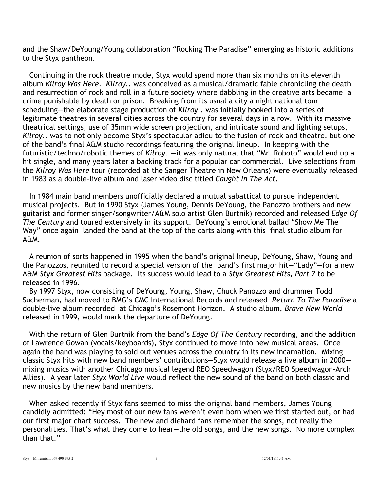and the Shaw/DeYoung/Young collaboration "Rocking The Paradise" emerging as historic additions to the Styx pantheon.

 Continuing in the rock theatre mode, Styx would spend more than six months on its eleventh album *Kilroy Was Here*. *Kilroy..* was conceived as a musical/dramatic fable chronicling the death and resurrection of rock and roll in a future society where dabbling in the creative arts became a crime punishable by death or prison. Breaking from its usual a city a night national tour scheduling—the elaborate stage production of *Kilroy..* was initially booked into a series of legitimate theatres in several cities across the country for several days in a row. With its massive theatrical settings, use of 35mm wide screen projection, and intricate sound and lighting setups, *Kilroy..* was to not only become Styx's spectacular adieu to the fusion of rock and theatre, but one of the band's final A&M studio recordings featuring the original lineup. In keeping with the futuristic/techno/robotic themes of *Kilroy..*—it was only natural that "Mr. Roboto" would end up a hit single, and many years later a backing track for a popular car commercial. Live selections from the *Kilroy Was Here* tour (recorded at the Sanger Theatre in New Orleans) were eventually released in 1983 as a double-live album and laser video disc titled *Caught In The Act*.

 In 1984 main band members unofficially declared a mutual sabattical to pursue independent musical projects. But in 1990 Styx (James Young, Dennis DeYoung, the Panozzo brothers and new guitarist and former singer/songwriter/A&M solo artist Glen Burtnik) recorded and released *Edge Of The Century* and toured extensively in its support. DeYoung's emotional ballad "Show Me The Way" once again landed the band at the top of the carts along with this final studio album for A&M.

 A reunion of sorts happened in 1995 when the band's original lineup, DeYoung, Shaw, Young and the Panozzos, reunited to record a special version of the band's first major hit—"Lady"—for a new A&M *Styx Greatest Hits* package. Its success would lead to a *Styx Greatest Hits, Part 2* to be released in 1996.

 By 1997 Styx, now consisting of DeYoung, Young, Shaw, Chuck Panozzo and drummer Todd Sucherman, had moved to BMG's CMC International Records and released *Return To The Paradise* a double-live album recorded at Chicago's Rosemont Horizon. A studio album, *Brave New World* released in 1999, would mark the departure of DeYoung.

 With the return of Glen Burtnik from the band's *Edge Of The Century* recording, and the addition of Lawrence Gowan (vocals/keyboards), Styx continued to move into new musical areas. Once again the band was playing to sold out venues across the country in its new incarnation. Mixing classic Styx hits with new band members' contributions—Styx would release a live album in 2000 mixing musics with another Chicago musical legend REO Speedwagon (Styx/REO Speedwagon-Arch Allies). A year later *Styx World Live* would reflect the new sound of the band on both classic and new musics by the new band members.

 When asked recently if Styx fans seemed to miss the original band members, James Young candidly admitted: "Hey most of our new fans weren't even born when we first started out, or had our first major chart success. The new and diehard fans remember the songs, not really the personalities. That's what they come to hear—the old songs, and the new songs. No more complex than that."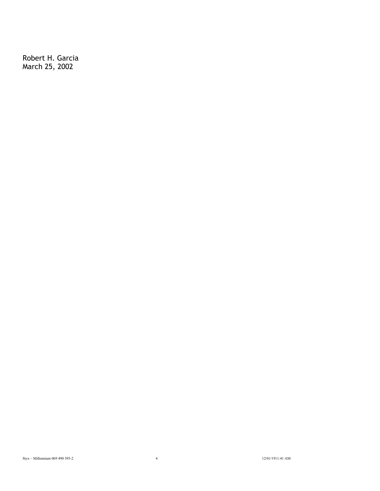Robert H. Garcia March 25, 2002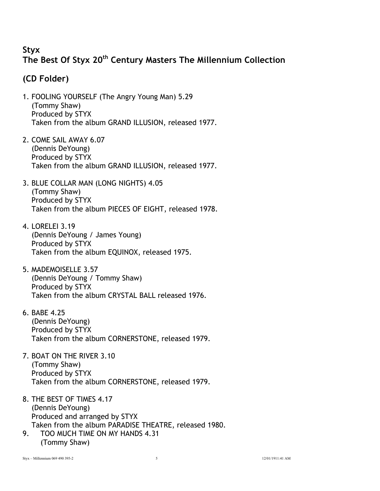### **Styx The Best Of Styx 20th Century Masters The Millennium Collection**

### **(CD Folder)**

- 1. FOOLING YOURSELF (The Angry Young Man) 5.29 (Tommy Shaw) Produced by STYX Taken from the album GRAND ILLUSION, released 1977.
- 2. COME SAIL AWAY 6.07 (Dennis DeYoung) Produced by STYX Taken from the album GRAND ILLUSION, released 1977.
- 3. BLUE COLLAR MAN (LONG NIGHTS) 4.05 (Tommy Shaw) Produced by STYX Taken from the album PIECES OF EIGHT, released 1978.
- 4. LORELEI 3.19 (Dennis DeYoung / James Young) Produced by STYX Taken from the album EQUINOX, released 1975.
- 5. MADEMOISELLE 3.57 (Dennis DeYoung / Tommy Shaw) Produced by STYX Taken from the album CRYSTAL BALL released 1976.
- 6. BABE 4.25 (Dennis DeYoung) Produced by STYX Taken from the album CORNERSTONE, released 1979.
- 7. BOAT ON THE RIVER 3.10 (Tommy Shaw) Produced by STYX Taken from the album CORNERSTONE, released 1979.
- 8. THE BEST OF TIMES 4.17 (Dennis DeYoung) Produced and arranged by STYX Taken from the album PARADISE THEATRE, released 1980.
- 9. TOO MUCH TIME ON MY HANDS 4.31 (Tommy Shaw)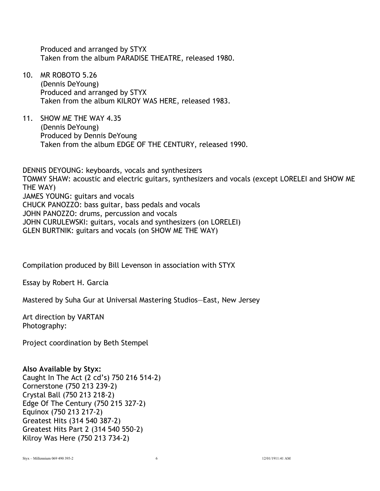Produced and arranged by STYX Taken from the album PARADISE THEATRE, released 1980.

- 10. MR ROBOTO 5.26 (Dennis DeYoung) Produced and arranged by STYX Taken from the album KILROY WAS HERE, released 1983.
- 11. SHOW ME THE WAY 4.35 (Dennis DeYoung) Produced by Dennis DeYoung Taken from the album EDGE OF THE CENTURY, released 1990.

DENNIS DEYOUNG: keyboards, vocals and synthesizers TOMMY SHAW: acoustic and electric guitars, synthesizers and vocals (except LORELEI and SHOW ME THE WAY) JAMES YOUNG: guitars and vocals CHUCK PANOZZO: bass guitar, bass pedals and vocals JOHN PANOZZO: drums, percussion and vocals JOHN CURULEWSKI: guitars, vocals and synthesizers (on LORELEI) GLEN BURTNIK: guitars and vocals (on SHOW ME THE WAY)

Compilation produced by Bill Levenson in association with STYX

Essay by Robert H. Garcia

Mastered by Suha Gur at Universal Mastering Studios—East, New Jersey

Art direction by VARTAN Photography:

Project coordination by Beth Stempel

#### **Also Available by Styx:**

Caught In The Act (2 cd's) 750 216 514-2) Cornerstone (750 213 239-2) Crystal Ball (750 213 218-2) Edge Of The Century (750 215 327-2) Equinox (750 213 217-2) Greatest Hits (314 540 387-2) Greatest Hits Part 2 (314 540 550-2) Kilroy Was Here (750 213 734-2)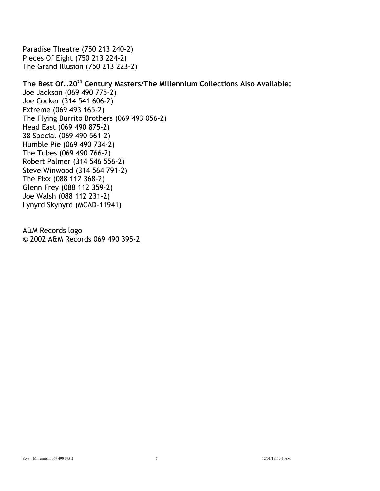Paradise Theatre (750 213 240-2) Pieces Of Eight (750 213 224-2) The Grand Illusion (750 213 223-2)

#### The Best Of...20<sup>th</sup> Century Masters/The Millennium Collections Also Available:

Joe Jackson (069 490 775-2) Joe Cocker (314 541 606-2) Extreme (069 493 165-2) The Flying Burrito Brothers (069 493 056-2) Head East (069 490 875-2) 38 Special (069 490 561-2) Humble Pie (069 490 734-2) The Tubes (069 490 766-2) Robert Palmer (314 546 556-2) Steve Winwood (314 564 791-2) The Fixx (088 112 368-2) Glenn Frey (088 112 359-2) Joe Walsh (088 112 231-2) Lynyrd Skynyrd (MCAD-11941)

A&M Records logo © 2002 A&M Records 069 490 395-2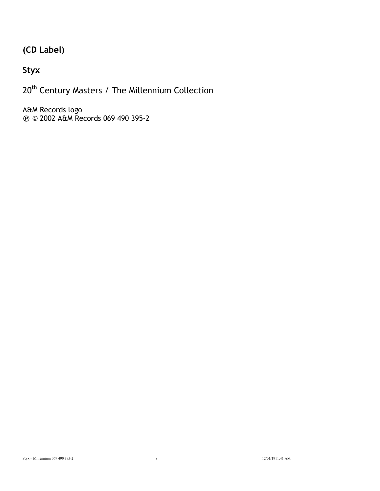## **(CD Label)**

## **Styx**

20<sup>th</sup> Century Masters / The Millennium Collection

A&M Records logo ! © 2002 A&M Records 069 490 395-2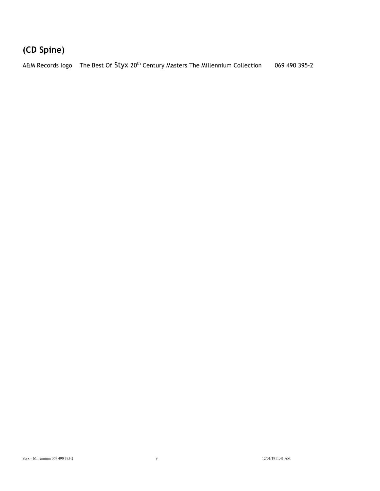# **(CD Spine)**

A&M Records logo The Best Of Styx 20<sup>th</sup> Century Masters The Millennium Collection 069 490 395-2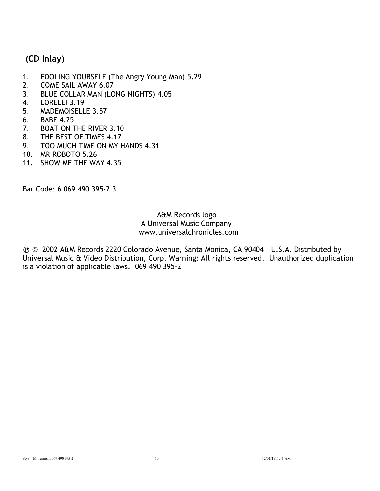### **(CD Inlay)**

- 1. FOOLING YOURSELF (The Angry Young Man) 5.29
- 2. COME SAIL AWAY 6.07
- 3. BLUE COLLAR MAN (LONG NIGHTS) 4.05
- 4. LORELEI 3.19
- 5. MADEMOISELLE 3.57
- 6. BABE 4.25
- 7. BOAT ON THE RIVER 3.10
- 8. THE BEST OF TIMES 4.17
- 9. TOO MUCH TIME ON MY HANDS 4.31
- 10. MR ROBOTO 5.26
- 11. SHOW ME THE WAY 4.35

Bar Code: 6 069 490 395-2 3

#### A&M Records logo A Universal Music Company www.universalchronicles.com

! © 2002 A&M Records 2220 Colorado Avenue, Santa Monica, CA 90404 – U.S.A. Distributed by Universal Music & Video Distribution, Corp. Warning: All rights reserved. Unauthorized duplication is a violation of applicable laws. 069 490 395-2